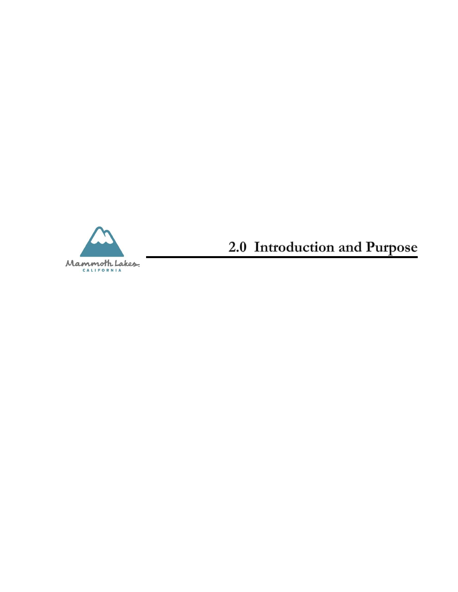

2.0 Introduction and Purpose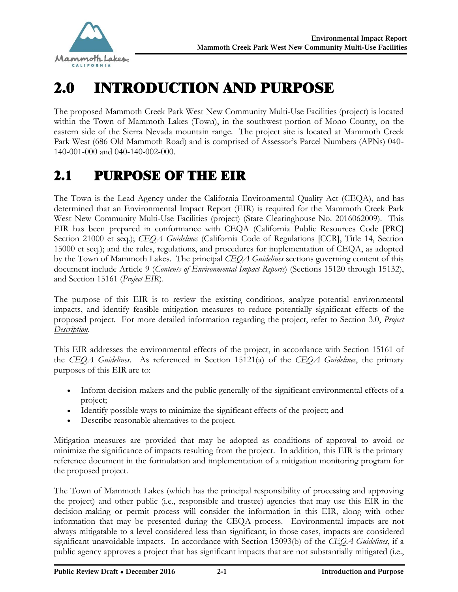

# 2.0 INTRODUCTION AND PURPOSE

The proposed Mammoth Creek Park West New Community Multi-Use Facilities (project) is located within the Town of Mammoth Lakes (Town), in the southwest portion of Mono County, on the eastern side of the Sierra Nevada mountain range. The project site is located at Mammoth Creek Park West (686 Old Mammoth Road) and is comprised of Assessor's Parcel Numbers (APNs) 040- 140-001-000 and 040-140-002-000.

### 2.1 PURPOSE OF THE EIR

The Town is the Lead Agency under the California Environmental Quality Act (CEQA), and has determined that an Environmental Impact Report (EIR) is required for the Mammoth Creek Park West New Community Multi-Use Facilities (project) (State Clearinghouse No. 2016062009). This EIR has been prepared in conformance with CEQA (California Public Resources Code [PRC] Section 21000 et seq.); *CEQA Guidelines* (California Code of Regulations [CCR], Title 14, Section 15000 et seq.); and the rules, regulations, and procedures for implementation of CEQA, as adopted by the Town of Mammoth Lakes. The principal *CEQA Guidelines* sections governing content of this document include Article 9 (*Contents of Environmental Impact Reports*) (Sections 15120 through 15132), and Section 15161 (*Project EIR*).

The purpose of this EIR is to review the existing conditions, analyze potential environmental impacts, and identify feasible mitigation measures to reduce potentially significant effects of the proposed project. For more detailed information regarding the project, refer to Section 3.0, *Project Description*.

This EIR addresses the environmental effects of the project, in accordance with Section 15161 of the *CEQA Guidelines*. As referenced in Section 15121(a) of the *CEQA Guidelines*, the primary purposes of this EIR are to:

- · Inform decision-makers and the public generally of the significant environmental effects of a project;
- · Identify possible ways to minimize the significant effects of the project; and
- Describe reasonable alternatives to the project.

Mitigation measures are provided that may be adopted as conditions of approval to avoid or minimize the significance of impacts resulting from the project. In addition, this EIR is the primary reference document in the formulation and implementation of a mitigation monitoring program for the proposed project.

The Town of Mammoth Lakes (which has the principal responsibility of processing and approving the project) and other public (i.e., responsible and trustee) agencies that may use this EIR in the decision-making or permit process will consider the information in this EIR, along with other information that may be presented during the CEQA process. Environmental impacts are not always mitigatable to a level considered less than significant; in those cases, impacts are considered significant unavoidable impacts. In accordance with Section 15093(b) of the *CEQA Guidelines*, if a public agency approves a project that has significant impacts that are not substantially mitigated (i.e.,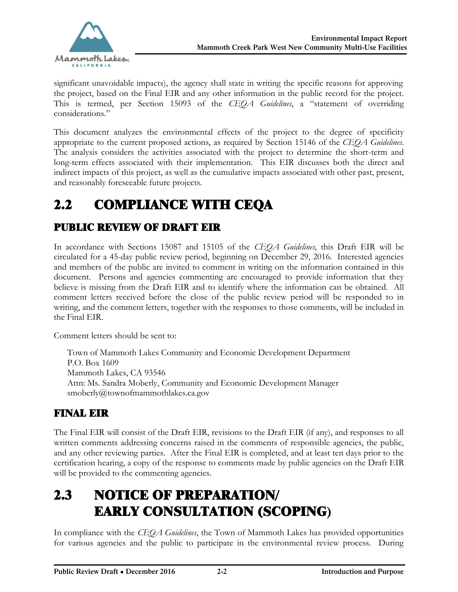

significant unavoidable impacts), the agency shall state in writing the specific reasons for approving the project, based on the Final EIR and any other information in the public record for the project. This is termed, per Section 15093 of the *CEQA Guidelines*, a "statement of overriding considerations."

This document analyzes the environmental effects of the project to the degree of specificity appropriate to the current proposed actions, as required by Section 15146 of the *CEQA Guidelines*. The analysis considers the activities associated with the project to determine the short-term and long-term effects associated with their implementation. This EIR discusses both the direct and indirect impacts of this project, as well as the cumulative impacts associated with other past, present, and reasonably foreseeable future projects.

# 2.2 COMPLIANCE WITH CEQA

#### PUBLIC REVIEW OF DRAFT EIR

In accordance with Sections 15087 and 15105 of the *CEQA Guidelines*, this Draft EIR will be circulated for a 45-day public review period, beginning on December 29, 2016. Interested agencies and members of the public are invited to comment in writing on the information contained in this document. Persons and agencies commenting are encouraged to provide information that they believe is missing from the Draft EIR and to identify where the information can be obtained. All comment letters received before the close of the public review period will be responded to in writing, and the comment letters, together with the responses to those comments, will be included in the Final EIR.

Comment letters should be sent to:

Town of Mammoth Lakes Community and Economic Development Department P.O. Box 1609 Mammoth Lakes, CA 93546 Attn: Ms. Sandra Moberly, Community and Economic Development Manager [smoberly@townofmammothlakes.ca.gov](mailto:smoberly@townofmammothlakes.ca.gov)

#### FINAL EIR

The Final EIR will consist of the Draft EIR, revisions to the Draft EIR (if any), and responses to all written comments addressing concerns raised in the comments of responsible agencies, the public, and any other reviewing parties. After the Final EIR is completed, and at least ten days prior to the certification hearing, a copy of the response to comments made by public agencies on the Draft EIR will be provided to the commenting agencies.

# 2.3 NOTICE OF PREPARATION/ EARLY CONSULTATION (SCOPING**)**

In compliance with the *CEQA Guidelines*, the Town of Mammoth Lakes has provided opportunities for various agencies and the public to participate in the environmental review process. During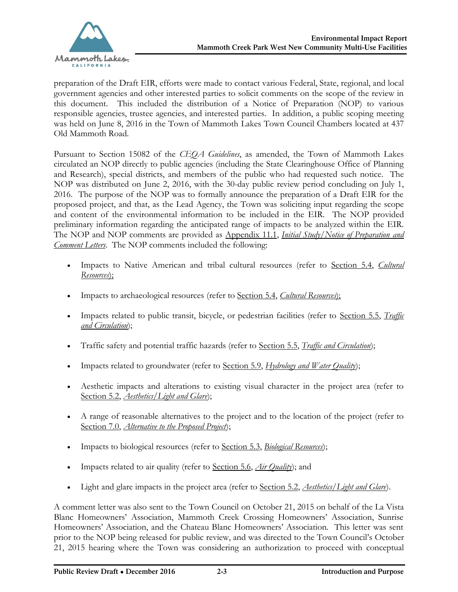

preparation of the Draft EIR, efforts were made to contact various Federal, State, regional, and local government agencies and other interested parties to solicit comments on the scope of the review in this document. This included the distribution of a Notice of Preparation (NOP) to various responsible agencies, trustee agencies, and interested parties. In addition, a public scoping meeting was held on June 8, 2016 in the Town of Mammoth Lakes Town Council Chambers located at 437 Old Mammoth Road.

Pursuant to Section 15082 of the *CEQA Guidelines*, as amended, the Town of Mammoth Lakes circulated an NOP directly to public agencies (including the State Clearinghouse Office of Planning and Research), special districts, and members of the public who had requested such notice. The NOP was distributed on June 2, 2016, with the 30-day public review period concluding on July 1, 2016. The purpose of the NOP was to formally announce the preparation of a Draft EIR for the proposed project, and that, as the Lead Agency, the Town was soliciting input regarding the scope and content of the environmental information to be included in the EIR. The NOP provided preliminary information regarding the anticipated range of impacts to be analyzed within the EIR. The NOP and NOP comments are provided as Appendix 11.1, *Initial Study/Notice of Preparation and Comment Letters*. The NOP comments included the following:

- · Impacts to Native American and tribal cultural resources (refer to Section 5.4, *Cultural Resources*);
- · Impacts to archaeological resources (refer to Section 5.4, *Cultural Resources*);
- · Impacts related to public transit, bicycle, or pedestrian facilities (refer to Section 5.5, *Traffic and Circulation*);
- · Traffic safety and potential traffic hazards (refer to Section 5.5, *Traffic and Circulation*);
- · Impacts related to groundwater (refer to Section 5.9, *Hydrology and Water Quality*);
- · Aesthetic impacts and alterations to existing visual character in the project area (refer to Section 5.2, *Aesthetics/Light and Glare*);
- · A range of reasonable alternatives to the project and to the location of the project (refer to Section 7.0, *Alternative to the Proposed Project*);
- · Impacts to biological resources (refer to Section 5.3, *Biological Resources*);
- · Impacts related to air quality (refer to Section 5.6, *Air Quality*); and
- Light and glare impacts in the project area (refer to <u>Section 5.2, Aesthetics/Light and Glare</u>).

A comment letter was also sent to the Town Council on October 21, 2015 on behalf of the La Vista Blanc Homeowners' Association, Mammoth Creek Crossing Homeowners' Association, Sunrise Homeowners' Association, and the Chateau Blanc Homeowners' Association. This letter was sent prior to the NOP being released for public review, and was directed to the Town Council's October 21, 2015 hearing where the Town was considering an authorization to proceed with conceptual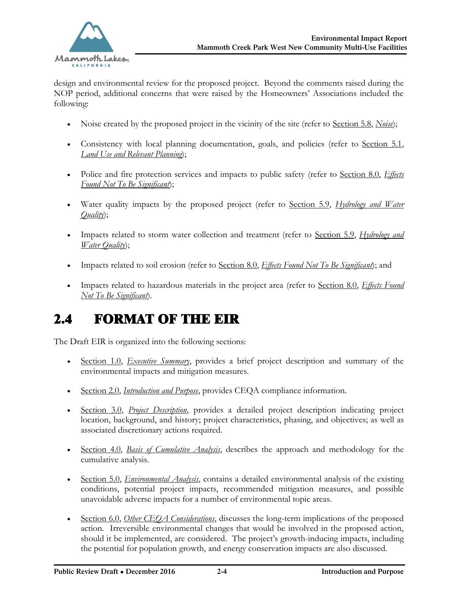

design and environmental review for the proposed project. Beyond the comments raised during the NOP period, additional concerns that were raised by the Homeowners' Associations included the following:

- · Noise created by the proposed project in the vicinity of the site (refer to Section 5.8, *Noise*);
- · Consistency with local planning documentation, goals, and policies (refer to Section 5.1, *Land Use and Relevant Planning*);
- · Police and fire protection services and impacts to public safety (refer to Section 8.0, *Effects Found Not To Be Significant*);
- · Water quality impacts by the proposed project (refer to Section 5.9, *Hydrology and Water Quality*);
- · Impacts related to storm water collection and treatment (refer to Section 5.9, *Hydrology and Water Quality*);
- · Impacts related to soil erosion (refer to Section 8.0, *Effects Found Not To Be Significant*); and
- · Impacts related to hazardous materials in the project area (refer to Section 8.0, *Effects Found Not To Be Significant*).

# 2.4 FORMAT OF THE EIR

The Draft EIR is organized into the following sections:

- · Section 1.0, *Executive Summary*, provides a brief project description and summary of the environmental impacts and mitigation measures.
- · Section 2.0, *Introduction and Purpose*, provides CEQA compliance information.
- · Section 3.0, *Project Description*, provides a detailed project description indicating project location, background, and history; project characteristics, phasing, and objectives; as well as associated discretionary actions required.
- · Section 4.0, *Basis of Cumulative Analysis*, describes the approach and methodology for the cumulative analysis.
- · Section 5.0, *Environmental Analysis*, contains a detailed environmental analysis of the existing conditions, potential project impacts, recommended mitigation measures, and possible unavoidable adverse impacts for a number of environmental topic areas.
- · Section 6.0, *Other CEQA Considerations*, discusses the long-term implications of the proposed action. Irreversible environmental changes that would be involved in the proposed action, should it be implemented, are considered. The project's growth-inducing impacts, including the potential for population growth, and energy conservation impacts are also discussed.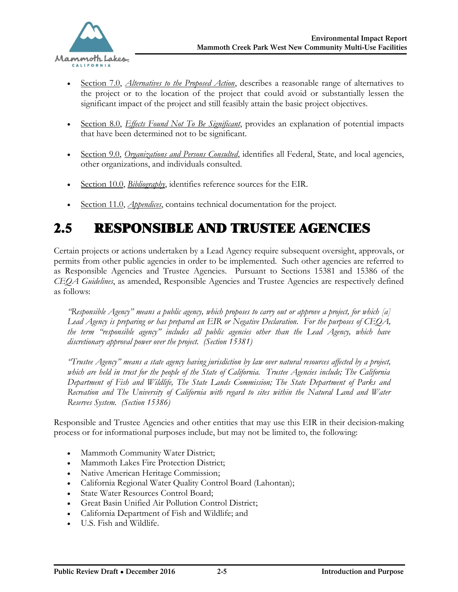

- Section 7.0, *Alternatives to the Proposed Action*, describes a reasonable range of alternatives to the project or to the location of the project that could avoid or substantially lessen the significant impact of the project and still feasibly attain the basic project objectives.
- · Section 8.0, *Effects Found Not To Be Significant*, provides an explanation of potential impacts that have been determined not to be significant.
- · Section 9.0, *Organizations and Persons Consulted*, identifies all Federal, State, and local agencies, other organizations, and individuals consulted.
- Section 10.0, *Bibliography*, identifies reference sources for the EIR.
- Section 11.0, *Appendices*, contains technical documentation for the project.

### 2.5 RESPONSIBLE AND TRUSTEE AGENCIES

Certain projects or actions undertaken by a Lead Agency require subsequent oversight, approvals, or permits from other public agencies in order to be implemented. Such other agencies are referred to as Responsible Agencies and Trustee Agencies. Pursuant to Sections 15381 and 15386 of the *CEQA Guidelines*, as amended, Responsible Agencies and Trustee Agencies are respectively defined as follows:

*"Responsible Agency" means a public agency, which proposes to carry out or approve a project, for which [a] Lead Agency is preparing or has prepared an EIR or Negative Declaration. For the purposes of CEQA, the term "responsible agency" includes all public agencies other than the Lead Agency, which have discretionary approval power over the project. (Section 15381)*

*"Trustee Agency" means a state agency having jurisdiction by law over natural resources affected by a project, which are held in trust for the people of the State of California. Trustee Agencies include; The California Department of Fish and Wildlife, The State Lands Commission; The State Department of Parks and Recreation and The University of California with regard to sites within the Natural Land and Water Reserves System. (Section 15386)*

Responsible and Trustee Agencies and other entities that may use this EIR in their decision-making process or for informational purposes include, but may not be limited to, the following:

- · Mammoth Community Water District;
- · Mammoth Lakes Fire Protection District;
- · Native American Heritage Commission;
- · California Regional Water Quality Control Board (Lahontan);
- · State Water Resources Control Board;
- · Great Basin Unified Air Pollution Control District;
- · California Department of Fish and Wildlife; and
- · U.S. Fish and Wildlife.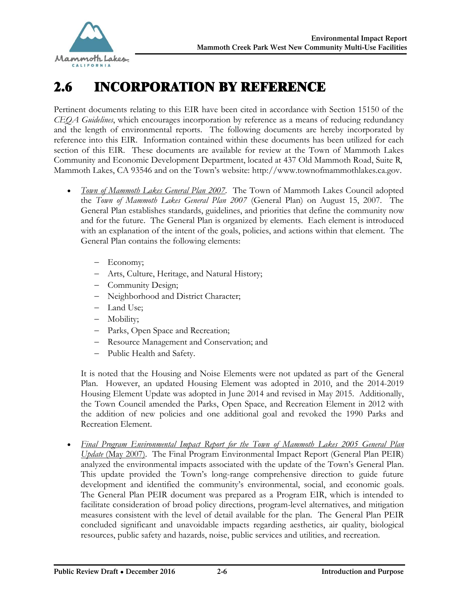

# 2.6 INCORPORATION BY REFERENCE

Pertinent documents relating to this EIR have been cited in accordance with Section 15150 of the *CEQA Guidelines*, which encourages incorporation by reference as a means of reducing redundancy and the length of environmental reports. The following documents are hereby incorporated by reference into this EIR. Information contained within these documents has been utilized for each section of this EIR. These documents are available for review at the Town of Mammoth Lakes Community and Economic Development Department, located at 437 Old Mammoth Road, Suite R, Mammoth Lakes, CA 93546 and on the Town's website: [http://www.townofmammothlakes.ca.gov.](http://www.townofmammothlakes.ca.gov)

- · *Town of Mammoth Lakes General Plan 2007.* The Town of Mammoth Lakes Council adopted the *Town of Mammoth Lakes General Plan 2007* (General Plan) on August 15, 2007. The General Plan establishes standards, guidelines, and priorities that define the community now and for the future. The General Plan is organized by elements. Each element is introduced with an explanation of the intent of the goals, policies, and actions within that element. The General Plan contains the following elements:
	- Economy;
	- Arts, Culture, Heritage, and Natural History;
	- Community Design;
	- Neighborhood and District Character;
	- Land Use;
	- Mobility;
	- Parks, Open Space and Recreation;
	- Resource Management and Conservation; and
	- Public Health and Safety.

It is noted that the Housing and Noise Elements were not updated as part of the General Plan. However, an updated Housing Element was adopted in 2010, and the 2014-2019 Housing Element Update was adopted in June 2014 and revised in May 2015. Additionally, the Town Council amended the Parks, Open Space, and Recreation Element in 2012 with the addition of new policies and one additional goal and revoked the 1990 Parks and Recreation Element.

· *Final Program Environmental Impact Report for the Town of Mammoth Lakes 2005 General Plan Update* (May 2007). The Final Program Environmental Impact Report (General Plan PEIR) analyzed the environmental impacts associated with the update of the Town's General Plan. This update provided the Town's long-range comprehensive direction to guide future development and identified the community's environmental, social, and economic goals. The General Plan PEIR document was prepared as a Program EIR, which is intended to facilitate consideration of broad policy directions, program-level alternatives, and mitigation measures consistent with the level of detail available for the plan. The General Plan PEIR concluded significant and unavoidable impacts regarding aesthetics, air quality, biological resources, public safety and hazards, noise, public services and utilities, and recreation.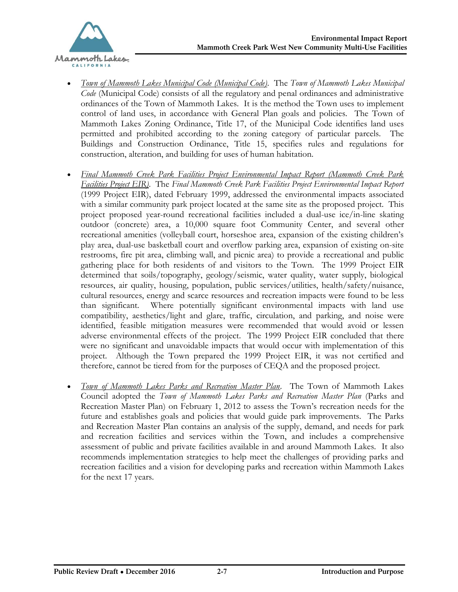

- · *Town of Mammoth Lakes Municipal Code (Municipal Code)*. The *Town of Mammoth Lakes Municipal Code* (Municipal Code) consists of all the regulatory and penal ordinances and administrative ordinances of the Town of Mammoth Lakes. It is the method the Town uses to implement control of land uses, in accordance with General Plan goals and policies. The Town of Mammoth Lakes Zoning Ordinance, Title 17, of the Municipal Code identifies land uses permitted and prohibited according to the zoning category of particular parcels. The Buildings and Construction Ordinance, Title 15, specifies rules and regulations for construction, alteration, and building for uses of human habitation.
- · *Final Mammoth Creek Park Facilities Project Environmental Impact Report (Mammoth Creek Park Facilities Project EIR).* The *Final Mammoth Creek Park Facilities Project Environmental Impact Report*  (1999 Project EIR), dated February 1999, addressed the environmental impacts associated with a similar community park project located at the same site as the proposed project. This project proposed year-round recreational facilities included a dual-use ice/in-line skating outdoor (concrete) area, a 10,000 square foot Community Center, and several other recreational amenities (volleyball court, horseshoe area, expansion of the existing children's play area, dual-use basketball court and overflow parking area, expansion of existing on-site restrooms, fire pit area, climbing wall, and picnic area) to provide a recreational and public gathering place for both residents of and visitors to the Town. The 1999 Project EIR determined that soils/topography, geology/seismic, water quality, water supply, biological resources, air quality, housing, population, public services/utilities, health/safety/nuisance, cultural resources, energy and scarce resources and recreation impacts were found to be less than significant. Where potentially significant environmental impacts with land use compatibility, aesthetics/light and glare, traffic, circulation, and parking, and noise were identified, feasible mitigation measures were recommended that would avoid or lessen adverse environmental effects of the project. The 1999 Project EIR concluded that there were no significant and unavoidable impacts that would occur with implementation of this project. Although the Town prepared the 1999 Project EIR, it was not certified and therefore, cannot be tiered from for the purposes of CEQA and the proposed project.
- · *Town of Mammoth Lakes Parks and Recreation Master Plan.* The Town of Mammoth Lakes Council adopted the *Town of Mammoth Lakes Parks and Recreation Master Plan* (Parks and Recreation Master Plan) on February 1, 2012 to assess the Town's recreation needs for the future and establishes goals and policies that would guide park improvements. The Parks and Recreation Master Plan contains an analysis of the supply, demand, and needs for park and recreation facilities and services within the Town, and includes a comprehensive assessment of public and private facilities available in and around Mammoth Lakes. It also recommends implementation strategies to help meet the challenges of providing parks and recreation facilities and a vision for developing parks and recreation within Mammoth Lakes for the next 17 years.